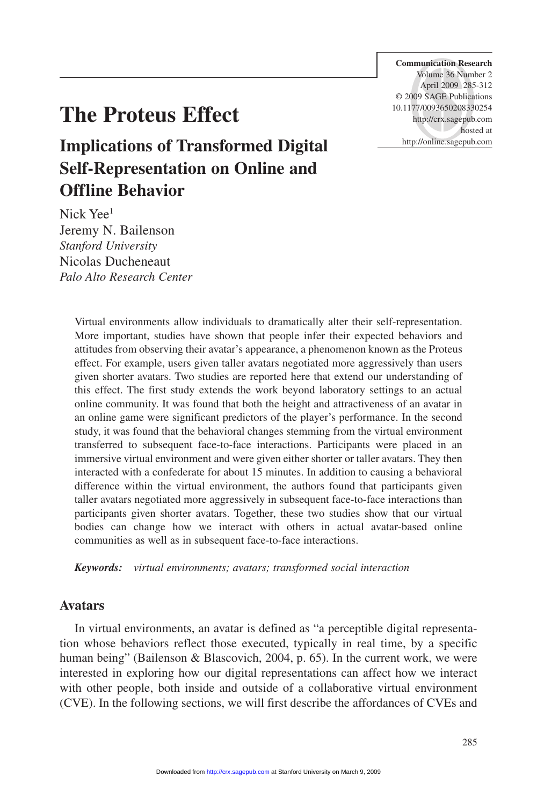**Communication Research** Volume 36 Number 2 April 2009 285-312 © 2009 SAGE Publications 10.1177/0093650208330254 http://crx.sagepub.com hosted at http://online.sagepub.com

# **The Proteus Effect**

# **Implications of Transformed Digital Self-Representation on Online and Offline Behavior**

Nick Yee<sup>1</sup> Jeremy N. Bailenson *Stanford University* Nicolas Ducheneaut *Palo Alto Research Center*

> Virtual environments allow individuals to dramatically alter their self-representation. More important, studies have shown that people infer their expected behaviors and attitudes from observing their avatar's appearance, a phenomenon known as the Proteus effect. For example, users given taller avatars negotiated more aggressively than users given shorter avatars. Two studies are reported here that extend our understanding of this effect. The first study extends the work beyond laboratory settings to an actual online community. It was found that both the height and attractiveness of an avatar in an online game were significant predictors of the player's performance. In the second study, it was found that the behavioral changes stemming from the virtual environment transferred to subsequent face-to-face interactions. Participants were placed in an immersive virtual environment and were given either shorter or taller avatars. They then interacted with a confederate for about 15 minutes. In addition to causing a behavioral difference within the virtual environment, the authors found that participants given taller avatars negotiated more aggressively in subsequent face-to-face interactions than participants given shorter avatars. Together, these two studies show that our virtual bodies can change how we interact with others in actual avatar-based online communities as well as in subsequent face-to-face interactions.

*Keywords: virtual environments; avatars; transformed social interaction*

# **Avatars**

In virtual environments, an avatar is defined as "a perceptible digital representation whose behaviors reflect those executed, typically in real time, by a specific human being" (Bailenson & Blascovich, 2004, p. 65). In the current work, we were interested in exploring how our digital representations can affect how we interact with other people, both inside and outside of a collaborative virtual environment (CVE). In the following sections, we will first describe the affordances of CVEs and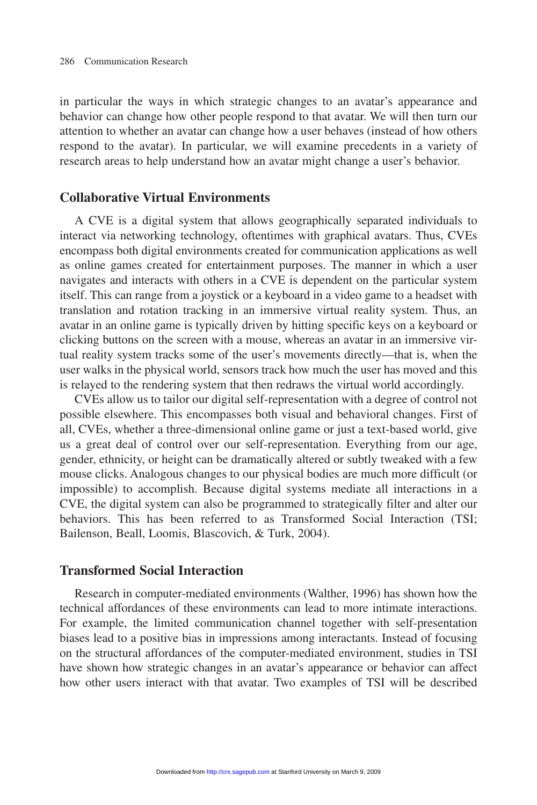in particular the ways in which strategic changes to an avatar's appearance and behavior can change how other people respond to that avatar. We will then turn our attention to whether an avatar can change how a user behaves (instead of how others respond to the avatar). In particular, we will examine precedents in a variety of research areas to help understand how an avatar might change a user's behavior.

## **Collaborative Virtual Environments**

A CVE is a digital system that allows geographically separated individuals to interact via networking technology, oftentimes with graphical avatars. Thus, CVEs encompass both digital environments created for communication applications as well as online games created for entertainment purposes. The manner in which a user navigates and interacts with others in a CVE is dependent on the particular system itself. This can range from a joystick or a keyboard in a video game to a headset with translation and rotation tracking in an immersive virtual reality system. Thus, an avatar in an online game is typically driven by hitting specific keys on a keyboard or clicking buttons on the screen with a mouse, whereas an avatar in an immersive virtual reality system tracks some of the user's movements directly—that is, when the user walks in the physical world, sensors track how much the user has moved and this is relayed to the rendering system that then redraws the virtual world accordingly.

CVEs allow us to tailor our digital self-representation with a degree of control not possible elsewhere. This encompasses both visual and behavioral changes. First of all, CVEs, whether a three-dimensional online game or just a text-based world, give us a great deal of control over our self-representation. Everything from our age, gender, ethnicity, or height can be dramatically altered or subtly tweaked with a few mouse clicks. Analogous changes to our physical bodies are much more difficult (or impossible) to accomplish. Because digital systems mediate all interactions in a CVE, the digital system can also be programmed to strategically filter and alter our behaviors. This has been referred to as Transformed Social Interaction (TSI; Bailenson, Beall, Loomis, Blascovich, & Turk, 2004).

## **Transformed Social Interaction**

Research in computer-mediated environments (Walther, 1996) has shown how the technical affordances of these environments can lead to more intimate interactions. For example, the limited communication channel together with self-presentation biases lead to a positive bias in impressions among interactants. Instead of focusing on the structural affordances of the computer-mediated environment, studies in TSI have shown how strategic changes in an avatar's appearance or behavior can affect how other users interact with that avatar. Two examples of TSI will be described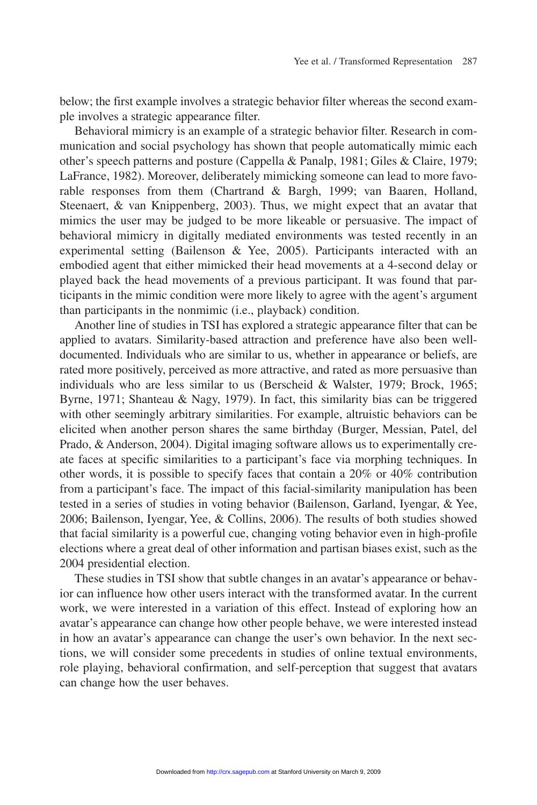below; the first example involves a strategic behavior filter whereas the second example involves a strategic appearance filter.

Behavioral mimicry is an example of a strategic behavior filter. Research in communication and social psychology has shown that people automatically mimic each other's speech patterns and posture (Cappella & Panalp, 1981; Giles & Claire, 1979; LaFrance, 1982). Moreover, deliberately mimicking someone can lead to more favorable responses from them (Chartrand & Bargh, 1999; van Baaren, Holland, Steenaert, & van Knippenberg, 2003). Thus, we might expect that an avatar that mimics the user may be judged to be more likeable or persuasive. The impact of behavioral mimicry in digitally mediated environments was tested recently in an experimental setting (Bailenson & Yee, 2005). Participants interacted with an embodied agent that either mimicked their head movements at a 4-second delay or played back the head movements of a previous participant. It was found that participants in the mimic condition were more likely to agree with the agent's argument than participants in the nonmimic (i.e., playback) condition.

Another line of studies in TSI has explored a strategic appearance filter that can be applied to avatars. Similarity-based attraction and preference have also been welldocumented. Individuals who are similar to us, whether in appearance or beliefs, are rated more positively, perceived as more attractive, and rated as more persuasive than individuals who are less similar to us (Berscheid & Walster, 1979; Brock, 1965; Byrne, 1971; Shanteau & Nagy, 1979). In fact, this similarity bias can be triggered with other seemingly arbitrary similarities. For example, altruistic behaviors can be elicited when another person shares the same birthday (Burger, Messian, Patel, del Prado, & Anderson, 2004). Digital imaging software allows us to experimentally create faces at specific similarities to a participant's face via morphing techniques. In other words, it is possible to specify faces that contain a 20% or 40% contribution from a participant's face. The impact of this facial-similarity manipulation has been tested in a series of studies in voting behavior (Bailenson, Garland, Iyengar, & Yee, 2006; Bailenson, Iyengar, Yee, & Collins, 2006). The results of both studies showed that facial similarity is a powerful cue, changing voting behavior even in high-profile elections where a great deal of other information and partisan biases exist, such as the 2004 presidential election.

These studies in TSI show that subtle changes in an avatar's appearance or behavior can influence how other users interact with the transformed avatar. In the current work, we were interested in a variation of this effect. Instead of exploring how an avatar's appearance can change how other people behave, we were interested instead in how an avatar's appearance can change the user's own behavior. In the next sections, we will consider some precedents in studies of online textual environments, role playing, behavioral confirmation, and self-perception that suggest that avatars can change how the user behaves.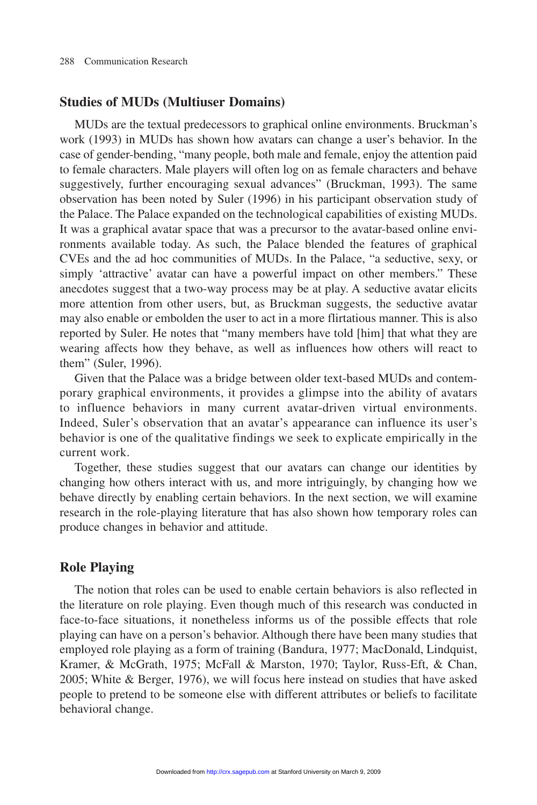### **Studies of MUDs (Multiuser Domains)**

MUDs are the textual predecessors to graphical online environments. Bruckman's work (1993) in MUDs has shown how avatars can change a user's behavior. In the case of gender-bending, "many people, both male and female, enjoy the attention paid to female characters. Male players will often log on as female characters and behave suggestively, further encouraging sexual advances" (Bruckman, 1993). The same observation has been noted by Suler (1996) in his participant observation study of the Palace. The Palace expanded on the technological capabilities of existing MUDs. It was a graphical avatar space that was a precursor to the avatar-based online environments available today. As such, the Palace blended the features of graphical CVEs and the ad hoc communities of MUDs. In the Palace, "a seductive, sexy, or simply 'attractive' avatar can have a powerful impact on other members." These anecdotes suggest that a two-way process may be at play. A seductive avatar elicits more attention from other users, but, as Bruckman suggests, the seductive avatar may also enable or embolden the user to act in a more flirtatious manner. This is also reported by Suler. He notes that "many members have told [him] that what they are wearing affects how they behave, as well as influences how others will react to them" (Suler, 1996).

Given that the Palace was a bridge between older text-based MUDs and contemporary graphical environments, it provides a glimpse into the ability of avatars to influence behaviors in many current avatar-driven virtual environments. Indeed, Suler's observation that an avatar's appearance can influence its user's behavior is one of the qualitative findings we seek to explicate empirically in the current work.

Together, these studies suggest that our avatars can change our identities by changing how others interact with us, and more intriguingly, by changing how we behave directly by enabling certain behaviors. In the next section, we will examine research in the role-playing literature that has also shown how temporary roles can produce changes in behavior and attitude.

## **Role Playing**

The notion that roles can be used to enable certain behaviors is also reflected in the literature on role playing. Even though much of this research was conducted in face-to-face situations, it nonetheless informs us of the possible effects that role playing can have on a person's behavior. Although there have been many studies that employed role playing as a form of training (Bandura, 1977; MacDonald, Lindquist, Kramer, & McGrath, 1975; McFall & Marston, 1970; Taylor, Russ-Eft, & Chan, 2005; White & Berger, 1976), we will focus here instead on studies that have asked people to pretend to be someone else with different attributes or beliefs to facilitate behavioral change.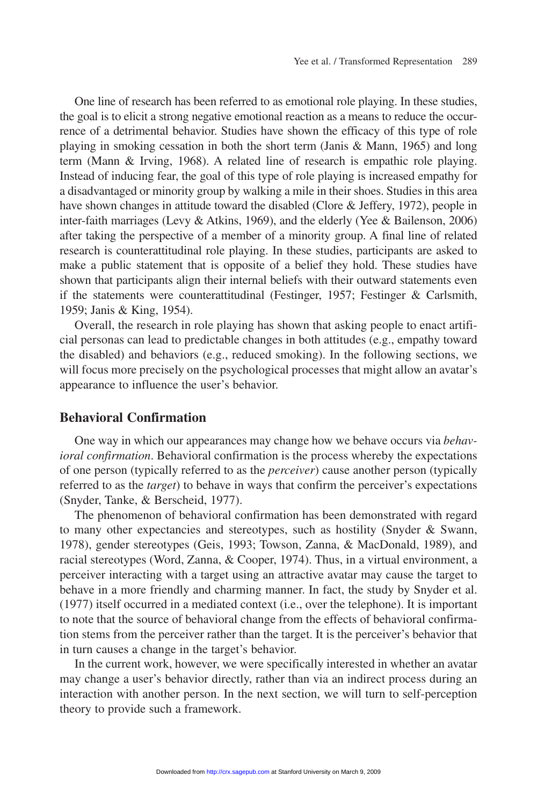One line of research has been referred to as emotional role playing. In these studies, the goal is to elicit a strong negative emotional reaction as a means to reduce the occurrence of a detrimental behavior. Studies have shown the efficacy of this type of role playing in smoking cessation in both the short term (Janis & Mann, 1965) and long term (Mann & Irving, 1968). A related line of research is empathic role playing. Instead of inducing fear, the goal of this type of role playing is increased empathy for a disadvantaged or minority group by walking a mile in their shoes. Studies in this area have shown changes in attitude toward the disabled (Clore & Jeffery, 1972), people in inter-faith marriages (Levy & Atkins, 1969), and the elderly (Yee & Bailenson, 2006) after taking the perspective of a member of a minority group. A final line of related research is counterattitudinal role playing. In these studies, participants are asked to make a public statement that is opposite of a belief they hold. These studies have shown that participants align their internal beliefs with their outward statements even if the statements were counterattitudinal (Festinger, 1957; Festinger & Carlsmith, 1959; Janis & King, 1954).

Overall, the research in role playing has shown that asking people to enact artificial personas can lead to predictable changes in both attitudes (e.g., empathy toward the disabled) and behaviors (e.g., reduced smoking). In the following sections, we will focus more precisely on the psychological processes that might allow an avatar's appearance to influence the user's behavior.

#### **Behavioral Confirmation**

One way in which our appearances may change how we behave occurs via *behavioral confirmation*. Behavioral confirmation is the process whereby the expectations of one person (typically referred to as the *perceiver*) cause another person (typically referred to as the *target*) to behave in ways that confirm the perceiver's expectations (Snyder, Tanke, & Berscheid, 1977).

The phenomenon of behavioral confirmation has been demonstrated with regard to many other expectancies and stereotypes, such as hostility (Snyder & Swann, 1978), gender stereotypes (Geis, 1993; Towson, Zanna, & MacDonald, 1989), and racial stereotypes (Word, Zanna, & Cooper, 1974). Thus, in a virtual environment, a perceiver interacting with a target using an attractive avatar may cause the target to behave in a more friendly and charming manner. In fact, the study by Snyder et al. (1977) itself occurred in a mediated context (i.e., over the telephone). It is important to note that the source of behavioral change from the effects of behavioral confirmation stems from the perceiver rather than the target. It is the perceiver's behavior that in turn causes a change in the target's behavior.

In the current work, however, we were specifically interested in whether an avatar may change a user's behavior directly, rather than via an indirect process during an interaction with another person. In the next section, we will turn to self-perception theory to provide such a framework.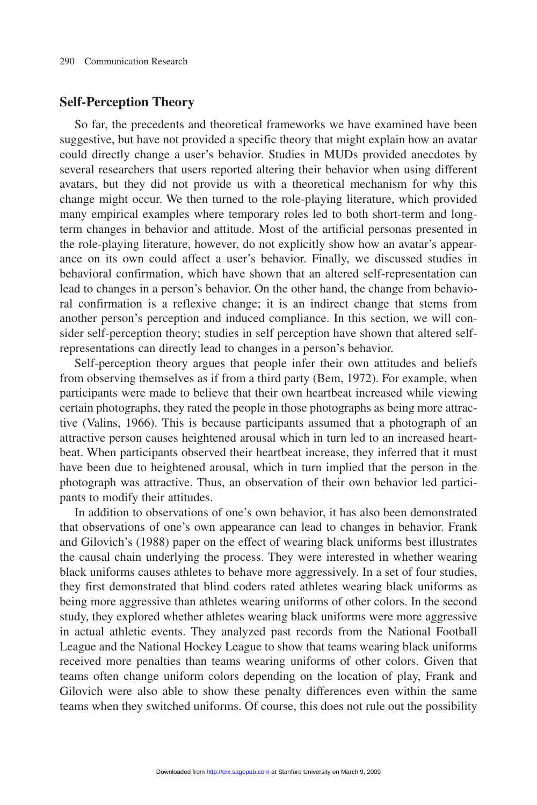## **Self-Perception Theory**

So far, the precedents and theoretical frameworks we have examined have been suggestive, but have not provided a specific theory that might explain how an avatar could directly change a user's behavior. Studies in MUDs provided anecdotes by several researchers that users reported altering their behavior when using different avatars, but they did not provide us with a theoretical mechanism for why this change might occur. We then turned to the role-playing literature, which provided many empirical examples where temporary roles led to both short-term and longterm changes in behavior and attitude. Most of the artificial personas presented in the role-playing literature, however, do not explicitly show how an avatar's appearance on its own could affect a user's behavior. Finally, we discussed studies in behavioral confirmation, which have shown that an altered self-representation can lead to changes in a person's behavior. On the other hand, the change from behavioral confirmation is a reflexive change; it is an indirect change that stems from another person's perception and induced compliance. In this section, we will consider self-perception theory; studies in self perception have shown that altered selfrepresentations can directly lead to changes in a person's behavior.

Self-perception theory argues that people infer their own attitudes and beliefs from observing themselves as if from a third party (Bem, 1972). For example, when participants were made to believe that their own heartbeat increased while viewing certain photographs, they rated the people in those photographs as being more attractive (Valins, 1966). This is because participants assumed that a photograph of an attractive person causes heightened arousal which in turn led to an increased heartbeat. When participants observed their heartbeat increase, they inferred that it must have been due to heightened arousal, which in turn implied that the person in the photograph was attractive. Thus, an observation of their own behavior led participants to modify their attitudes.

In addition to observations of one's own behavior, it has also been demonstrated that observations of one's own appearance can lead to changes in behavior. Frank and Gilovich's (1988) paper on the effect of wearing black uniforms best illustrates the causal chain underlying the process. They were interested in whether wearing black uniforms causes athletes to behave more aggressively. In a set of four studies, they first demonstrated that blind coders rated athletes wearing black uniforms as being more aggressive than athletes wearing uniforms of other colors. In the second study, they explored whether athletes wearing black uniforms were more aggressive in actual athletic events. They analyzed past records from the National Football League and the National Hockey League to show that teams wearing black uniforms received more penalties than teams wearing uniforms of other colors. Given that teams often change uniform colors depending on the location of play, Frank and Gilovich were also able to show these penalty differences even within the same teams when they switched uniforms. Of course, this does not rule out the possibility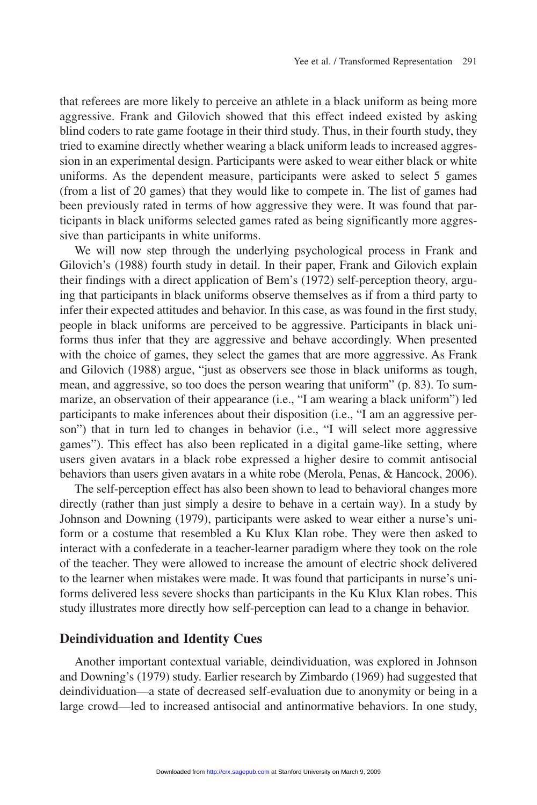that referees are more likely to perceive an athlete in a black uniform as being more aggressive. Frank and Gilovich showed that this effect indeed existed by asking blind coders to rate game footage in their third study. Thus, in their fourth study, they tried to examine directly whether wearing a black uniform leads to increased aggression in an experimental design. Participants were asked to wear either black or white uniforms. As the dependent measure, participants were asked to select 5 games (from a list of 20 games) that they would like to compete in. The list of games had been previously rated in terms of how aggressive they were. It was found that participants in black uniforms selected games rated as being significantly more aggressive than participants in white uniforms.

We will now step through the underlying psychological process in Frank and Gilovich's (1988) fourth study in detail. In their paper, Frank and Gilovich explain their findings with a direct application of Bem's (1972) self-perception theory, arguing that participants in black uniforms observe themselves as if from a third party to infer their expected attitudes and behavior. In this case, as was found in the first study, people in black uniforms are perceived to be aggressive. Participants in black uniforms thus infer that they are aggressive and behave accordingly. When presented with the choice of games, they select the games that are more aggressive. As Frank and Gilovich (1988) argue, "just as observers see those in black uniforms as tough, mean, and aggressive, so too does the person wearing that uniform" (p. 83). To summarize, an observation of their appearance (i.e., "I am wearing a black uniform") led participants to make inferences about their disposition (i.e., "I am an aggressive person") that in turn led to changes in behavior (i.e., "I will select more aggressive games"). This effect has also been replicated in a digital game-like setting, where users given avatars in a black robe expressed a higher desire to commit antisocial behaviors than users given avatars in a white robe (Merola, Penas, & Hancock, 2006).

The self-perception effect has also been shown to lead to behavioral changes more directly (rather than just simply a desire to behave in a certain way). In a study by Johnson and Downing (1979), participants were asked to wear either a nurse's uniform or a costume that resembled a Ku Klux Klan robe. They were then asked to interact with a confederate in a teacher-learner paradigm where they took on the role of the teacher. They were allowed to increase the amount of electric shock delivered to the learner when mistakes were made. It was found that participants in nurse's uniforms delivered less severe shocks than participants in the Ku Klux Klan robes. This study illustrates more directly how self-perception can lead to a change in behavior.

# **Deindividuation and Identity Cues**

Another important contextual variable, deindividuation, was explored in Johnson and Downing's (1979) study. Earlier research by Zimbardo (1969) had suggested that deindividuation—a state of decreased self-evaluation due to anonymity or being in a large crowd—led to increased antisocial and antinormative behaviors. In one study,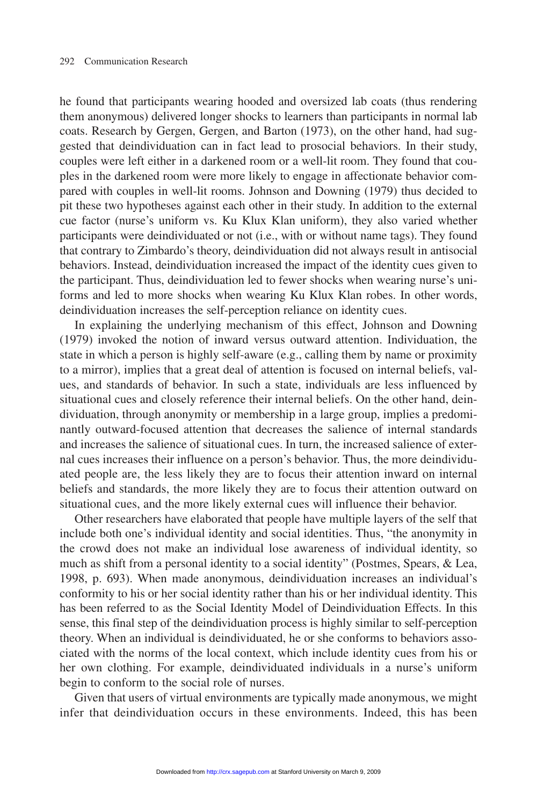he found that participants wearing hooded and oversized lab coats (thus rendering them anonymous) delivered longer shocks to learners than participants in normal lab coats. Research by Gergen, Gergen, and Barton (1973), on the other hand, had suggested that deindividuation can in fact lead to prosocial behaviors. In their study, couples were left either in a darkened room or a well-lit room. They found that couples in the darkened room were more likely to engage in affectionate behavior compared with couples in well-lit rooms. Johnson and Downing (1979) thus decided to pit these two hypotheses against each other in their study. In addition to the external cue factor (nurse's uniform vs. Ku Klux Klan uniform), they also varied whether participants were deindividuated or not (i.e., with or without name tags). They found that contrary to Zimbardo's theory, deindividuation did not always result in antisocial behaviors. Instead, deindividuation increased the impact of the identity cues given to the participant. Thus, deindividuation led to fewer shocks when wearing nurse's uniforms and led to more shocks when wearing Ku Klux Klan robes. In other words, deindividuation increases the self-perception reliance on identity cues.

In explaining the underlying mechanism of this effect, Johnson and Downing (1979) invoked the notion of inward versus outward attention. Individuation, the state in which a person is highly self-aware (e.g., calling them by name or proximity to a mirror), implies that a great deal of attention is focused on internal beliefs, values, and standards of behavior. In such a state, individuals are less influenced by situational cues and closely reference their internal beliefs. On the other hand, deindividuation, through anonymity or membership in a large group, implies a predominantly outward-focused attention that decreases the salience of internal standards and increases the salience of situational cues. In turn, the increased salience of external cues increases their influence on a person's behavior. Thus, the more deindividuated people are, the less likely they are to focus their attention inward on internal beliefs and standards, the more likely they are to focus their attention outward on situational cues, and the more likely external cues will influence their behavior.

Other researchers have elaborated that people have multiple layers of the self that include both one's individual identity and social identities. Thus, "the anonymity in the crowd does not make an individual lose awareness of individual identity, so much as shift from a personal identity to a social identity" (Postmes, Spears, & Lea, 1998, p. 693). When made anonymous, deindividuation increases an individual's conformity to his or her social identity rather than his or her individual identity. This has been referred to as the Social Identity Model of Deindividuation Effects. In this sense, this final step of the deindividuation process is highly similar to self-perception theory. When an individual is deindividuated, he or she conforms to behaviors associated with the norms of the local context, which include identity cues from his or her own clothing. For example, deindividuated individuals in a nurse's uniform begin to conform to the social role of nurses.

Given that users of virtual environments are typically made anonymous, we might infer that deindividuation occurs in these environments. Indeed, this has been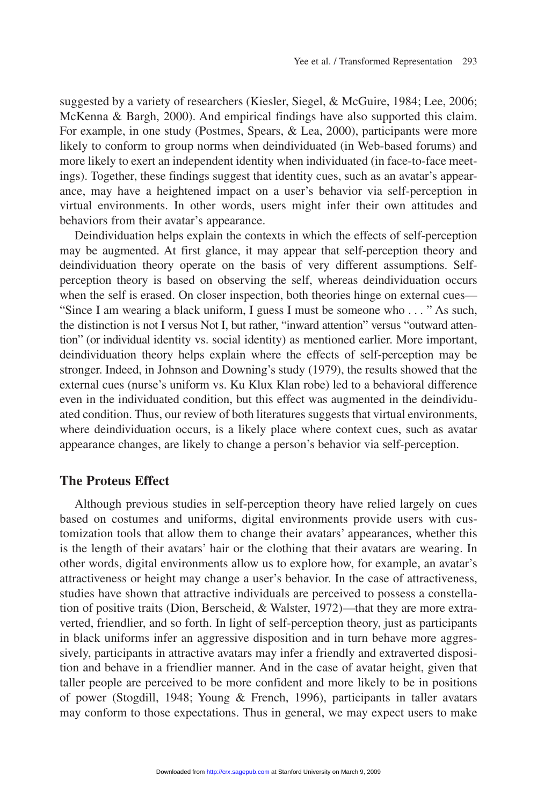suggested by a variety of researchers (Kiesler, Siegel, & McGuire, 1984; Lee, 2006; McKenna & Bargh, 2000). And empirical findings have also supported this claim. For example, in one study (Postmes, Spears, & Lea, 2000), participants were more likely to conform to group norms when deindividuated (in Web-based forums) and more likely to exert an independent identity when individuated (in face-to-face meetings). Together, these findings suggest that identity cues, such as an avatar's appearance, may have a heightened impact on a user's behavior via self-perception in virtual environments. In other words, users might infer their own attitudes and behaviors from their avatar's appearance.

Deindividuation helps explain the contexts in which the effects of self-perception may be augmented. At first glance, it may appear that self-perception theory and deindividuation theory operate on the basis of very different assumptions. Selfperception theory is based on observing the self, whereas deindividuation occurs when the self is erased. On closer inspection, both theories hinge on external cues— "Since I am wearing a black uniform, I guess I must be someone who . . . " As such, the distinction is not I versus Not I, but rather, "inward attention" versus "outward attention" (or individual identity vs. social identity) as mentioned earlier. More important, deindividuation theory helps explain where the effects of self-perception may be stronger. Indeed, in Johnson and Downing's study (1979), the results showed that the external cues (nurse's uniform vs. Ku Klux Klan robe) led to a behavioral difference even in the individuated condition, but this effect was augmented in the deindividuated condition. Thus, our review of both literatures suggests that virtual environments, where deindividuation occurs, is a likely place where context cues, such as avatar appearance changes, are likely to change a person's behavior via self-perception.

#### **The Proteus Effect**

Although previous studies in self-perception theory have relied largely on cues based on costumes and uniforms, digital environments provide users with customization tools that allow them to change their avatars' appearances, whether this is the length of their avatars' hair or the clothing that their avatars are wearing. In other words, digital environments allow us to explore how, for example, an avatar's attractiveness or height may change a user's behavior. In the case of attractiveness, studies have shown that attractive individuals are perceived to possess a constellation of positive traits (Dion, Berscheid, & Walster, 1972)—that they are more extraverted, friendlier, and so forth. In light of self-perception theory, just as participants in black uniforms infer an aggressive disposition and in turn behave more aggressively, participants in attractive avatars may infer a friendly and extraverted disposition and behave in a friendlier manner. And in the case of avatar height, given that taller people are perceived to be more confident and more likely to be in positions of power (Stogdill, 1948; Young & French, 1996), participants in taller avatars may conform to those expectations. Thus in general, we may expect users to make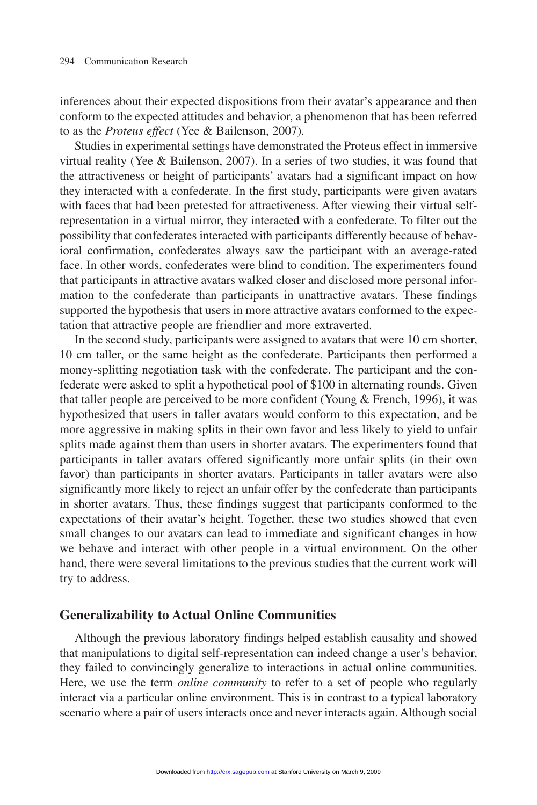inferences about their expected dispositions from their avatar's appearance and then conform to the expected attitudes and behavior, a phenomenon that has been referred to as the *Proteus effect* (Yee & Bailenson, 2007)*.*

Studies in experimental settings have demonstrated the Proteus effect in immersive virtual reality (Yee & Bailenson, 2007). In a series of two studies, it was found that the attractiveness or height of participants' avatars had a significant impact on how they interacted with a confederate. In the first study, participants were given avatars with faces that had been pretested for attractiveness. After viewing their virtual selfrepresentation in a virtual mirror, they interacted with a confederate. To filter out the possibility that confederates interacted with participants differently because of behavioral confirmation, confederates always saw the participant with an average-rated face. In other words, confederates were blind to condition. The experimenters found that participants in attractive avatars walked closer and disclosed more personal information to the confederate than participants in unattractive avatars. These findings supported the hypothesis that users in more attractive avatars conformed to the expectation that attractive people are friendlier and more extraverted.

In the second study, participants were assigned to avatars that were 10 cm shorter, 10 cm taller, or the same height as the confederate. Participants then performed a money-splitting negotiation task with the confederate. The participant and the confederate were asked to split a hypothetical pool of \$100 in alternating rounds. Given that taller people are perceived to be more confident (Young & French, 1996), it was hypothesized that users in taller avatars would conform to this expectation, and be more aggressive in making splits in their own favor and less likely to yield to unfair splits made against them than users in shorter avatars. The experimenters found that participants in taller avatars offered significantly more unfair splits (in their own favor) than participants in shorter avatars. Participants in taller avatars were also significantly more likely to reject an unfair offer by the confederate than participants in shorter avatars. Thus, these findings suggest that participants conformed to the expectations of their avatar's height. Together, these two studies showed that even small changes to our avatars can lead to immediate and significant changes in how we behave and interact with other people in a virtual environment. On the other hand, there were several limitations to the previous studies that the current work will try to address.

## **Generalizability to Actual Online Communities**

Although the previous laboratory findings helped establish causality and showed that manipulations to digital self-representation can indeed change a user's behavior, they failed to convincingly generalize to interactions in actual online communities. Here, we use the term *online community* to refer to a set of people who regularly interact via a particular online environment. This is in contrast to a typical laboratory scenario where a pair of users interacts once and never interacts again. Although social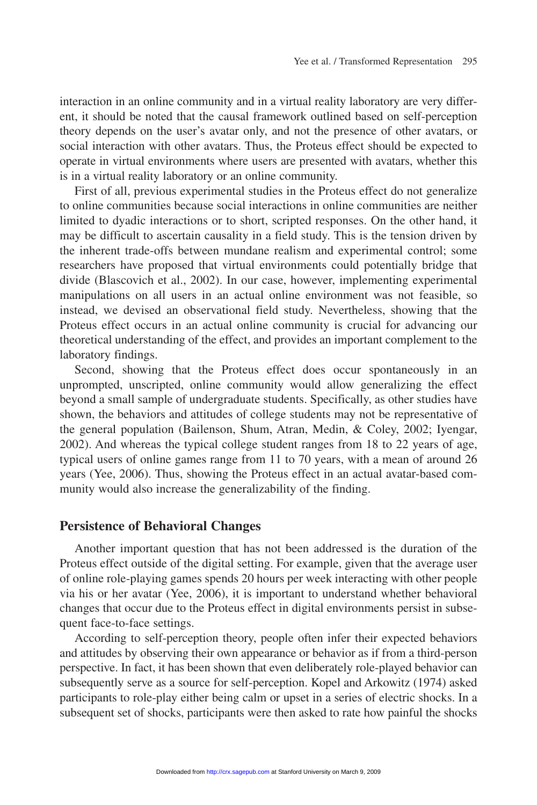interaction in an online community and in a virtual reality laboratory are very different, it should be noted that the causal framework outlined based on self-perception theory depends on the user's avatar only, and not the presence of other avatars, or social interaction with other avatars. Thus, the Proteus effect should be expected to operate in virtual environments where users are presented with avatars, whether this is in a virtual reality laboratory or an online community.

First of all, previous experimental studies in the Proteus effect do not generalize to online communities because social interactions in online communities are neither limited to dyadic interactions or to short, scripted responses. On the other hand, it may be difficult to ascertain causality in a field study. This is the tension driven by the inherent trade-offs between mundane realism and experimental control; some researchers have proposed that virtual environments could potentially bridge that divide (Blascovich et al., 2002). In our case, however, implementing experimental manipulations on all users in an actual online environment was not feasible, so instead, we devised an observational field study. Nevertheless, showing that the Proteus effect occurs in an actual online community is crucial for advancing our theoretical understanding of the effect, and provides an important complement to the laboratory findings.

Second, showing that the Proteus effect does occur spontaneously in an unprompted, unscripted, online community would allow generalizing the effect beyond a small sample of undergraduate students. Specifically, as other studies have shown, the behaviors and attitudes of college students may not be representative of the general population (Bailenson, Shum, Atran, Medin, & Coley, 2002; Iyengar, 2002). And whereas the typical college student ranges from 18 to 22 years of age, typical users of online games range from 11 to 70 years, with a mean of around 26 years (Yee, 2006). Thus, showing the Proteus effect in an actual avatar-based community would also increase the generalizability of the finding.

# **Persistence of Behavioral Changes**

Another important question that has not been addressed is the duration of the Proteus effect outside of the digital setting. For example, given that the average user of online role-playing games spends 20 hours per week interacting with other people via his or her avatar (Yee, 2006), it is important to understand whether behavioral changes that occur due to the Proteus effect in digital environments persist in subsequent face-to-face settings.

According to self-perception theory, people often infer their expected behaviors and attitudes by observing their own appearance or behavior as if from a third-person perspective. In fact, it has been shown that even deliberately role-played behavior can subsequently serve as a source for self-perception. Kopel and Arkowitz (1974) asked participants to role-play either being calm or upset in a series of electric shocks. In a subsequent set of shocks, participants were then asked to rate how painful the shocks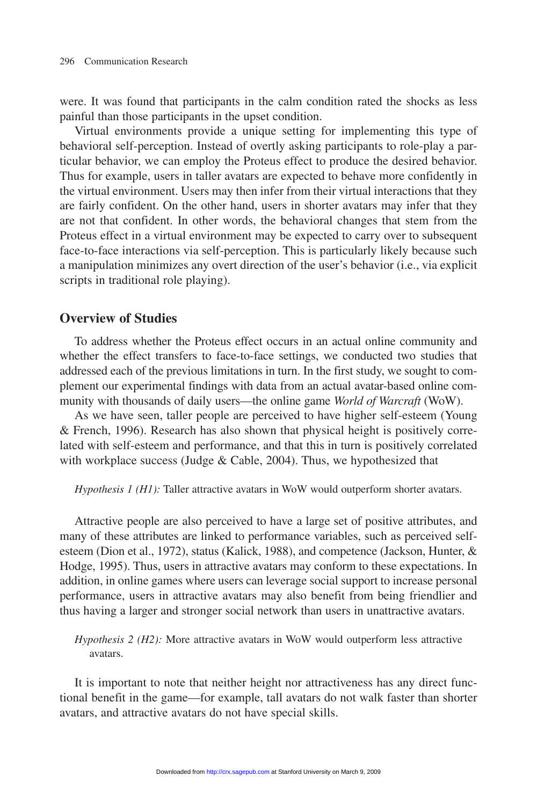were. It was found that participants in the calm condition rated the shocks as less painful than those participants in the upset condition.

Virtual environments provide a unique setting for implementing this type of behavioral self-perception. Instead of overtly asking participants to role-play a particular behavior, we can employ the Proteus effect to produce the desired behavior. Thus for example, users in taller avatars are expected to behave more confidently in the virtual environment. Users may then infer from their virtual interactions that they are fairly confident. On the other hand, users in shorter avatars may infer that they are not that confident. In other words, the behavioral changes that stem from the Proteus effect in a virtual environment may be expected to carry over to subsequent face-to-face interactions via self-perception. This is particularly likely because such a manipulation minimizes any overt direction of the user's behavior (i.e., via explicit scripts in traditional role playing).

# **Overview of Studies**

To address whether the Proteus effect occurs in an actual online community and whether the effect transfers to face-to-face settings, we conducted two studies that addressed each of the previous limitations in turn. In the first study, we sought to complement our experimental findings with data from an actual avatar-based online community with thousands of daily users—the online game *World of Warcraft* (WoW).

As we have seen, taller people are perceived to have higher self-esteem (Young & French, 1996). Research has also shown that physical height is positively correlated with self-esteem and performance, and that this in turn is positively correlated with workplace success (Judge  $&$  Cable, 2004). Thus, we hypothesized that

*Hypothesis 1 (H1):* Taller attractive avatars in WoW would outperform shorter avatars.

Attractive people are also perceived to have a large set of positive attributes, and many of these attributes are linked to performance variables, such as perceived selfesteem (Dion et al., 1972), status (Kalick, 1988), and competence (Jackson, Hunter, & Hodge, 1995). Thus, users in attractive avatars may conform to these expectations. In addition, in online games where users can leverage social support to increase personal performance, users in attractive avatars may also benefit from being friendlier and thus having a larger and stronger social network than users in unattractive avatars.

*Hypothesis 2 (H2):* More attractive avatars in WoW would outperform less attractive avatars.

It is important to note that neither height nor attractiveness has any direct functional benefit in the game—for example, tall avatars do not walk faster than shorter avatars, and attractive avatars do not have special skills.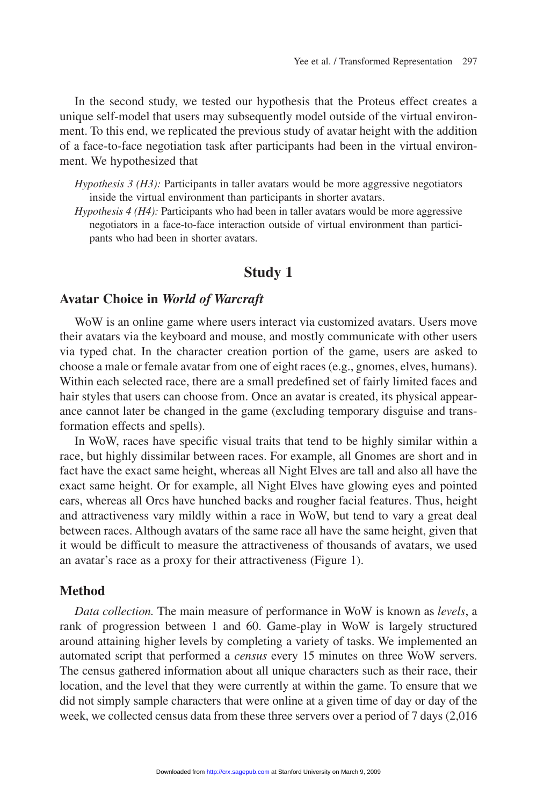In the second study, we tested our hypothesis that the Proteus effect creates a unique self-model that users may subsequently model outside of the virtual environment. To this end, we replicated the previous study of avatar height with the addition of a face-to-face negotiation task after participants had been in the virtual environment. We hypothesized that

*Hypothesis 3 (H3):* Participants in taller avatars would be more aggressive negotiators inside the virtual environment than participants in shorter avatars.

# **Study 1**

## **Avatar Choice in** *World of Warcraft*

WoW is an online game where users interact via customized avatars. Users move their avatars via the keyboard and mouse, and mostly communicate with other users via typed chat. In the character creation portion of the game, users are asked to choose a male or female avatar from one of eight races (e.g., gnomes, elves, humans). Within each selected race, there are a small predefined set of fairly limited faces and hair styles that users can choose from. Once an avatar is created, its physical appearance cannot later be changed in the game (excluding temporary disguise and transformation effects and spells).

In WoW, races have specific visual traits that tend to be highly similar within a race, but highly dissimilar between races. For example, all Gnomes are short and in fact have the exact same height, whereas all Night Elves are tall and also all have the exact same height. Or for example, all Night Elves have glowing eyes and pointed ears, whereas all Orcs have hunched backs and rougher facial features. Thus, height and attractiveness vary mildly within a race in WoW, but tend to vary a great deal between races. Although avatars of the same race all have the same height, given that it would be difficult to measure the attractiveness of thousands of avatars, we used an avatar's race as a proxy for their attractiveness (Figure 1).

## **Method**

*Data collection.* The main measure of performance in WoW is known as *levels*, a rank of progression between 1 and 60. Game-play in WoW is largely structured around attaining higher levels by completing a variety of tasks. We implemented an automated script that performed a *census* every 15 minutes on three WoW servers. The census gathered information about all unique characters such as their race, their location, and the level that they were currently at within the game. To ensure that we did not simply sample characters that were online at a given time of day or day of the week, we collected census data from these three servers over a period of 7 days (2,016

*Hypothesis 4 (H4):* Participants who had been in taller avatars would be more aggressive negotiators in a face-to-face interaction outside of virtual environment than participants who had been in shorter avatars.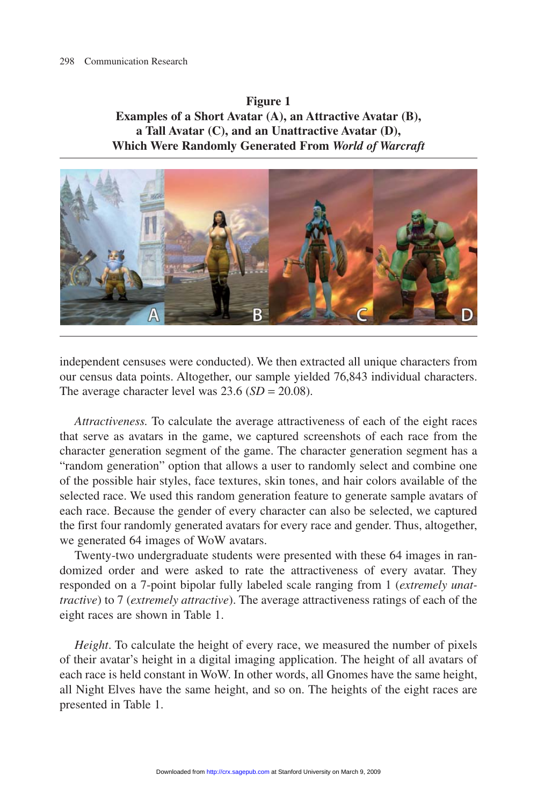**Figure 1 Examples of a Short Avatar (A), an Attractive Avatar (B), a Tall Avatar (C), and an Unattractive Avatar (D), Which Were Randomly Generated From** *World of Warcraft*



independent censuses were conducted). We then extracted all unique characters from our census data points. Altogether, our sample yielded 76,843 individual characters. The average character level was  $23.6$  (*SD* = 20.08).

*Attractiveness.* To calculate the average attractiveness of each of the eight races that serve as avatars in the game, we captured screenshots of each race from the character generation segment of the game. The character generation segment has a "random generation" option that allows a user to randomly select and combine one of the possible hair styles, face textures, skin tones, and hair colors available of the selected race. We used this random generation feature to generate sample avatars of each race. Because the gender of every character can also be selected, we captured the first four randomly generated avatars for every race and gender. Thus, altogether, we generated 64 images of WoW avatars.

Twenty-two undergraduate students were presented with these 64 images in randomized order and were asked to rate the attractiveness of every avatar. They responded on a 7-point bipolar fully labeled scale ranging from 1 (*extremely unattractive*) to 7 (*extremely attractive*). The average attractiveness ratings of each of the eight races are shown in Table 1.

*Height*. To calculate the height of every race, we measured the number of pixels of their avatar's height in a digital imaging application. The height of all avatars of each race is held constant in WoW. In other words, all Gnomes have the same height, all Night Elves have the same height, and so on. The heights of the eight races are presented in Table 1.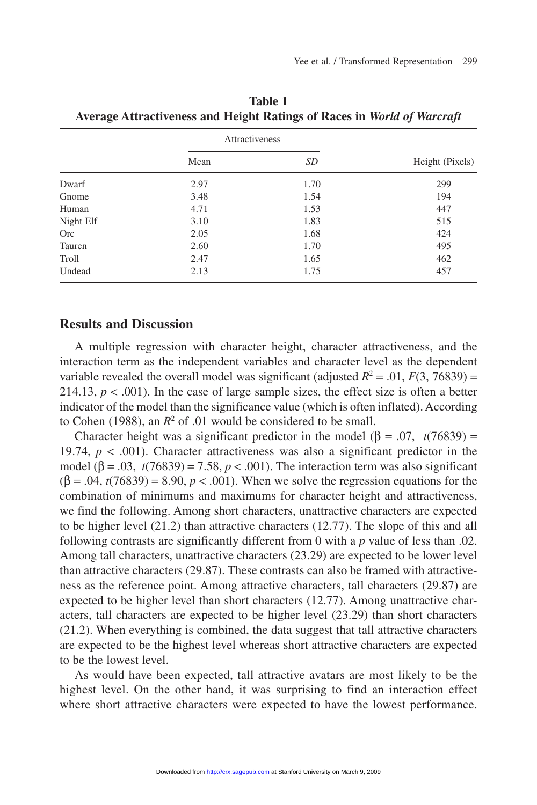|           | Attractiveness |      |                 |
|-----------|----------------|------|-----------------|
|           | Mean           | SD   | Height (Pixels) |
| Dwarf     | 2.97           | 1.70 | 299             |
| Gnome     | 3.48           | 1.54 | 194             |
| Human     | 4.71           | 1.53 | 447             |
| Night Elf | 3.10           | 1.83 | 515             |
| Orc       | 2.05           | 1.68 | 424             |
| Tauren    | 2.60           | 1.70 | 495             |
| Troll     | 2.47           | 1.65 | 462             |
| Undead    | 2.13           | 1.75 | 457             |

**Table 1 Average Attractiveness and Height Ratings of Races in** *World of Warcraft*

## **Results and Discussion**

A multiple regression with character height, character attractiveness, and the interaction term as the independent variables and character level as the dependent variable revealed the overall model was significant (adjusted  $R^2 = .01$ ,  $F(3, 76839) =$ 214.13,  $p < .001$ ). In the case of large sample sizes, the effect size is often a better indicator of the model than the significance value (which is often inflated). According to Cohen (1988), an  $R^2$  of .01 would be considered to be small.

Character height was a significant predictor in the model  $(\beta = .07, t(76839))$ 19.74, *p* < .001). Character attractiveness was also a significant predictor in the model  $(\beta = .03, t(76839) = 7.58, p < .001)$ . The interaction term was also significant (β = .04, *t*(76839) = 8.90, *p* < .001). When we solve the regression equations for the combination of minimums and maximums for character height and attractiveness, we find the following. Among short characters, unattractive characters are expected to be higher level (21.2) than attractive characters (12.77). The slope of this and all following contrasts are significantly different from 0 with a *p* value of less than .02. Among tall characters, unattractive characters (23.29) are expected to be lower level than attractive characters (29.87). These contrasts can also be framed with attractiveness as the reference point. Among attractive characters, tall characters (29.87) are expected to be higher level than short characters (12.77). Among unattractive characters, tall characters are expected to be higher level (23.29) than short characters (21.2). When everything is combined, the data suggest that tall attractive characters are expected to be the highest level whereas short attractive characters are expected to be the lowest level.

As would have been expected, tall attractive avatars are most likely to be the highest level. On the other hand, it was surprising to find an interaction effect where short attractive characters were expected to have the lowest performance.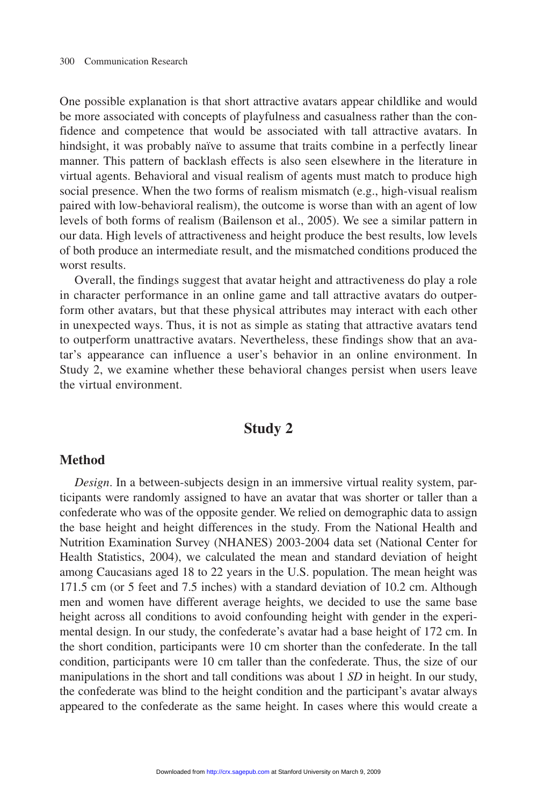One possible explanation is that short attractive avatars appear childlike and would be more associated with concepts of playfulness and casualness rather than the confidence and competence that would be associated with tall attractive avatars. In hindsight, it was probably naïve to assume that traits combine in a perfectly linear manner. This pattern of backlash effects is also seen elsewhere in the literature in virtual agents. Behavioral and visual realism of agents must match to produce high social presence. When the two forms of realism mismatch (e.g., high-visual realism paired with low-behavioral realism), the outcome is worse than with an agent of low levels of both forms of realism (Bailenson et al., 2005). We see a similar pattern in our data. High levels of attractiveness and height produce the best results, low levels of both produce an intermediate result, and the mismatched conditions produced the worst results.

Overall, the findings suggest that avatar height and attractiveness do play a role in character performance in an online game and tall attractive avatars do outperform other avatars, but that these physical attributes may interact with each other in unexpected ways. Thus, it is not as simple as stating that attractive avatars tend to outperform unattractive avatars. Nevertheless, these findings show that an avatar's appearance can influence a user's behavior in an online environment. In Study 2, we examine whether these behavioral changes persist when users leave the virtual environment.

# **Study 2**

#### **Method**

*Design*. In a between-subjects design in an immersive virtual reality system, participants were randomly assigned to have an avatar that was shorter or taller than a confederate who was of the opposite gender. We relied on demographic data to assign the base height and height differences in the study. From the National Health and Nutrition Examination Survey (NHANES) 2003-2004 data set (National Center for Health Statistics, 2004), we calculated the mean and standard deviation of height among Caucasians aged 18 to 22 years in the U.S. population. The mean height was 171.5 cm (or 5 feet and 7.5 inches) with a standard deviation of 10.2 cm. Although men and women have different average heights, we decided to use the same base height across all conditions to avoid confounding height with gender in the experimental design. In our study, the confederate's avatar had a base height of 172 cm. In the short condition, participants were 10 cm shorter than the confederate. In the tall condition, participants were 10 cm taller than the confederate. Thus, the size of our manipulations in the short and tall conditions was about 1 *SD* in height. In our study, the confederate was blind to the height condition and the participant's avatar always appeared to the confederate as the same height. In cases where this would create a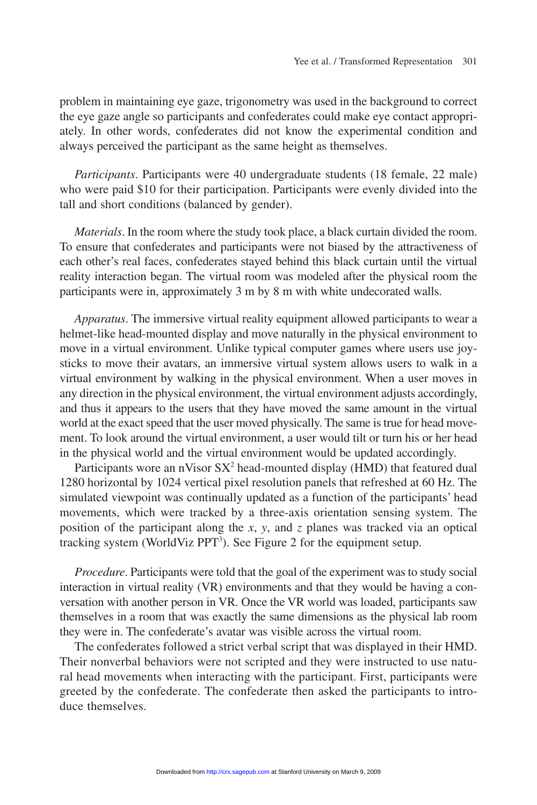problem in maintaining eye gaze, trigonometry was used in the background to correct the eye gaze angle so participants and confederates could make eye contact appropriately. In other words, confederates did not know the experimental condition and always perceived the participant as the same height as themselves.

*Participants*. Participants were 40 undergraduate students (18 female, 22 male) who were paid \$10 for their participation. Participants were evenly divided into the tall and short conditions (balanced by gender).

*Materials*. In the room where the study took place, a black curtain divided the room. To ensure that confederates and participants were not biased by the attractiveness of each other's real faces, confederates stayed behind this black curtain until the virtual reality interaction began. The virtual room was modeled after the physical room the participants were in, approximately 3 m by 8 m with white undecorated walls.

*Apparatus*. The immersive virtual reality equipment allowed participants to wear a helmet-like head-mounted display and move naturally in the physical environment to move in a virtual environment. Unlike typical computer games where users use joysticks to move their avatars, an immersive virtual system allows users to walk in a virtual environment by walking in the physical environment. When a user moves in any direction in the physical environment, the virtual environment adjusts accordingly, and thus it appears to the users that they have moved the same amount in the virtual world at the exact speed that the user moved physically. The same is true for head movement. To look around the virtual environment, a user would tilt or turn his or her head in the physical world and the virtual environment would be updated accordingly.

Participants wore an nVisor  $SX^2$  head-mounted display (HMD) that featured dual 1280 horizontal by 1024 vertical pixel resolution panels that refreshed at 60 Hz. The simulated viewpoint was continually updated as a function of the participants' head movements, which were tracked by a three-axis orientation sensing system. The position of the participant along the *x*, *y*, and *z* planes was tracked via an optical tracking system (WorldViz PPT<sup>3</sup>). See Figure 2 for the equipment setup.

*Procedure*. Participants were told that the goal of the experiment was to study social interaction in virtual reality (VR) environments and that they would be having a conversation with another person in VR. Once the VR world was loaded, participants saw themselves in a room that was exactly the same dimensions as the physical lab room they were in. The confederate's avatar was visible across the virtual room.

The confederates followed a strict verbal script that was displayed in their HMD. Their nonverbal behaviors were not scripted and they were instructed to use natural head movements when interacting with the participant. First, participants were greeted by the confederate. The confederate then asked the participants to introduce themselves.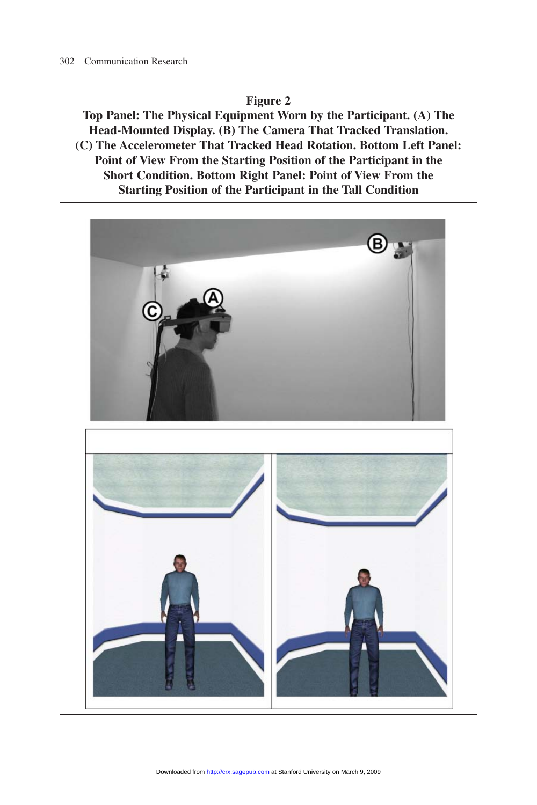## **Figure 2**

**Top Panel: The Physical Equipment Worn by the Participant. (A) The Head-Mounted Display. (B) The Camera That Tracked Translation. (C) The Accelerometer That Tracked Head Rotation. Bottom Left Panel: Point of View From the Starting Position of the Participant in the Short Condition. Bottom Right Panel: Point of View From the Starting Position of the Participant in the Tall Condition**



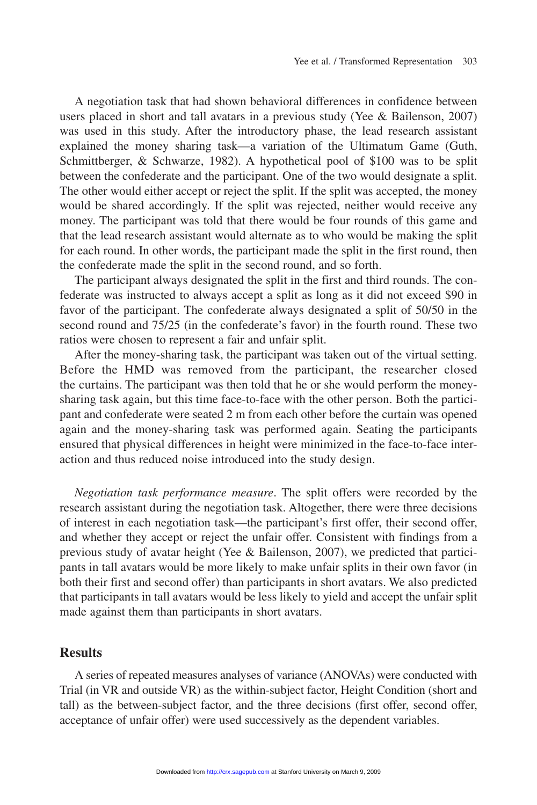A negotiation task that had shown behavioral differences in confidence between users placed in short and tall avatars in a previous study (Yee & Bailenson, 2007) was used in this study. After the introductory phase, the lead research assistant explained the money sharing task—a variation of the Ultimatum Game (Guth, Schmittberger, & Schwarze, 1982). A hypothetical pool of \$100 was to be split between the confederate and the participant. One of the two would designate a split. The other would either accept or reject the split. If the split was accepted, the money would be shared accordingly. If the split was rejected, neither would receive any money. The participant was told that there would be four rounds of this game and that the lead research assistant would alternate as to who would be making the split for each round. In other words, the participant made the split in the first round, then the confederate made the split in the second round, and so forth.

The participant always designated the split in the first and third rounds. The confederate was instructed to always accept a split as long as it did not exceed \$90 in favor of the participant. The confederate always designated a split of 50/50 in the second round and 75/25 (in the confederate's favor) in the fourth round. These two ratios were chosen to represent a fair and unfair split.

After the money-sharing task, the participant was taken out of the virtual setting. Before the HMD was removed from the participant, the researcher closed the curtains. The participant was then told that he or she would perform the moneysharing task again, but this time face-to-face with the other person. Both the participant and confederate were seated 2 m from each other before the curtain was opened again and the money-sharing task was performed again. Seating the participants ensured that physical differences in height were minimized in the face-to-face interaction and thus reduced noise introduced into the study design.

*Negotiation task performance measure*. The split offers were recorded by the research assistant during the negotiation task. Altogether, there were three decisions of interest in each negotiation task—the participant's first offer, their second offer, and whether they accept or reject the unfair offer. Consistent with findings from a previous study of avatar height (Yee & Bailenson, 2007), we predicted that participants in tall avatars would be more likely to make unfair splits in their own favor (in both their first and second offer) than participants in short avatars. We also predicted that participants in tall avatars would be less likely to yield and accept the unfair split made against them than participants in short avatars.

## **Results**

A series of repeated measures analyses of variance (ANOVAs) were conducted with Trial (in VR and outside VR) as the within-subject factor, Height Condition (short and tall) as the between-subject factor, and the three decisions (first offer, second offer, acceptance of unfair offer) were used successively as the dependent variables.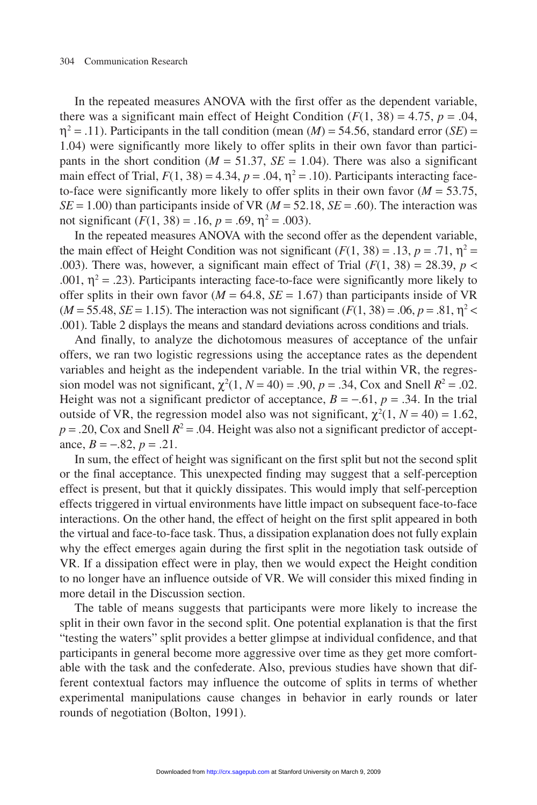In the repeated measures ANOVA with the first offer as the dependent variable, there was a significant main effect of Height Condition  $(F(1, 38) = 4.75, p = .04,$  $\eta^2$  = .11). Participants in the tall condition (mean  $(M)$  = 54.56, standard error (*SE*) = 1.04) were significantly more likely to offer splits in their own favor than participants in the short condition ( $M = 51.37$ ,  $SE = 1.04$ ). There was also a significant main effect of Trial,  $F(1, 38) = 4.34$ ,  $p = .04$ ,  $\eta^2 = .10$ ). Participants interacting faceto-face were significantly more likely to offer splits in their own favor  $(M = 53.75)$ ,  $SE = 1.00$ ) than participants inside of VR ( $M = 52.18$ ,  $SE = .60$ ). The interaction was not significant  $(F(1, 38) = .16, p = .69, \eta^2 = .003)$ .

In the repeated measures ANOVA with the second offer as the dependent variable, the main effect of Height Condition was not significant ( $F(1, 38) = .13$ ,  $p = .71$ ,  $\eta^2 =$ .003). There was, however, a significant main effect of Trial  $(F(1, 38) = 28.39, p <$ .001,  $\eta^2 = .23$ ). Participants interacting face-to-face were significantly more likely to offer splits in their own favor ( $M = 64.8$ ,  $SE = 1.67$ ) than participants inside of VR  $(M = 55.48, SE = 1.15)$ . The interaction was not significant  $(F(1, 38) = .06, p = .81, \eta^2$ .001). Table 2 displays the means and standard deviations across conditions and trials.

And finally, to analyze the dichotomous measures of acceptance of the unfair offers, we ran two logistic regressions using the acceptance rates as the dependent variables and height as the independent variable. In the trial within VR, the regression model was not significant,  $\chi^2(1, N = 40) = .90$ ,  $p = .34$ , Cox and Snell  $R^2 = .02$ . Height was not a significant predictor of acceptance,  $B = -0.61$ ,  $p = 0.34$ . In the trial outside of VR, the regression model also was not significant,  $\chi^2(1, N = 40) = 1.62$ ,  $p = 0.20$ , Cox and Snell  $R^2 = 0.04$ . Height was also not a significant predictor of acceptance,  $B = -.82$ ,  $p = .21$ .

In sum, the effect of height was significant on the first split but not the second split or the final acceptance. This unexpected finding may suggest that a self-perception effect is present, but that it quickly dissipates. This would imply that self-perception effects triggered in virtual environments have little impact on subsequent face-to-face interactions. On the other hand, the effect of height on the first split appeared in both the virtual and face-to-face task. Thus, a dissipation explanation does not fully explain why the effect emerges again during the first split in the negotiation task outside of VR. If a dissipation effect were in play, then we would expect the Height condition to no longer have an influence outside of VR. We will consider this mixed finding in more detail in the Discussion section.

The table of means suggests that participants were more likely to increase the split in their own favor in the second split. One potential explanation is that the first "testing the waters" split provides a better glimpse at individual confidence, and that participants in general become more aggressive over time as they get more comfortable with the task and the confederate. Also, previous studies have shown that different contextual factors may influence the outcome of splits in terms of whether experimental manipulations cause changes in behavior in early rounds or later rounds of negotiation (Bolton, 1991).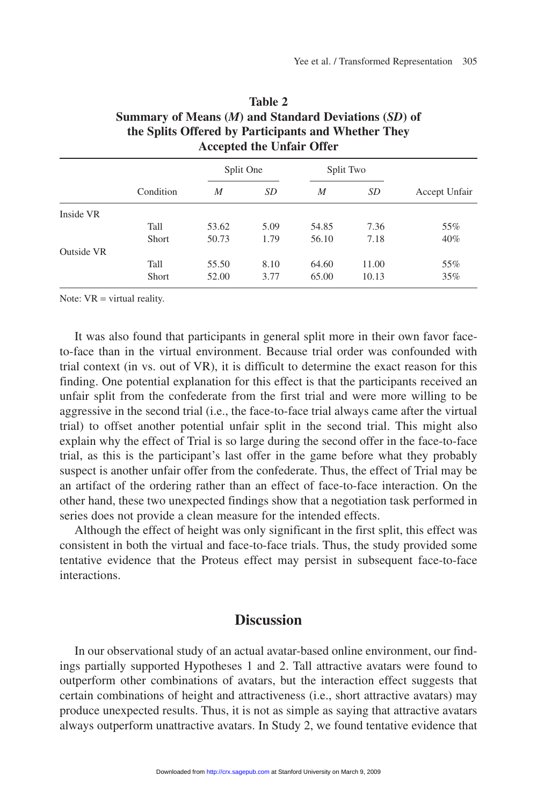| <i>Accepted the Childh</i> Offer |           |           |      |           |       |               |  |  |
|----------------------------------|-----------|-----------|------|-----------|-------|---------------|--|--|
|                                  | Condition | Split One |      | Split Two |       |               |  |  |
|                                  |           | M         | SD   | M         | SD    | Accept Unfair |  |  |
| Inside VR                        |           |           |      |           |       |               |  |  |
|                                  | Tall      | 53.62     | 5.09 | 54.85     | 7.36  | 55%           |  |  |
|                                  | Short     | 50.73     | 1.79 | 56.10     | 7.18  | 40%           |  |  |
| Outside VR                       |           |           |      |           |       |               |  |  |
|                                  | Tall      | 55.50     | 8.10 | 64.60     | 11.00 | 55%           |  |  |
|                                  | Short     | 52.00     | 3.77 | 65.00     | 10.13 | 35%           |  |  |

# **Table 2 Summary of Means (***M***) and Standard Deviations (***SD***) of the Splits Offered by Participants and Whether They Accepted the Unfair Offer**

Note:  $VR = virtual reality$ .

It was also found that participants in general split more in their own favor faceto-face than in the virtual environment. Because trial order was confounded with trial context (in vs. out of VR), it is difficult to determine the exact reason for this finding. One potential explanation for this effect is that the participants received an unfair split from the confederate from the first trial and were more willing to be aggressive in the second trial (i.e., the face-to-face trial always came after the virtual trial) to offset another potential unfair split in the second trial. This might also explain why the effect of Trial is so large during the second offer in the face-to-face trial, as this is the participant's last offer in the game before what they probably suspect is another unfair offer from the confederate. Thus, the effect of Trial may be an artifact of the ordering rather than an effect of face-to-face interaction. On the other hand, these two unexpected findings show that a negotiation task performed in series does not provide a clean measure for the intended effects.

Although the effect of height was only significant in the first split, this effect was consistent in both the virtual and face-to-face trials. Thus, the study provided some tentative evidence that the Proteus effect may persist in subsequent face-to-face interactions.

# **Discussion**

In our observational study of an actual avatar-based online environment, our findings partially supported Hypotheses 1 and 2. Tall attractive avatars were found to outperform other combinations of avatars, but the interaction effect suggests that certain combinations of height and attractiveness (i.e., short attractive avatars) may produce unexpected results. Thus, it is not as simple as saying that attractive avatars always outperform unattractive avatars. In Study 2, we found tentative evidence that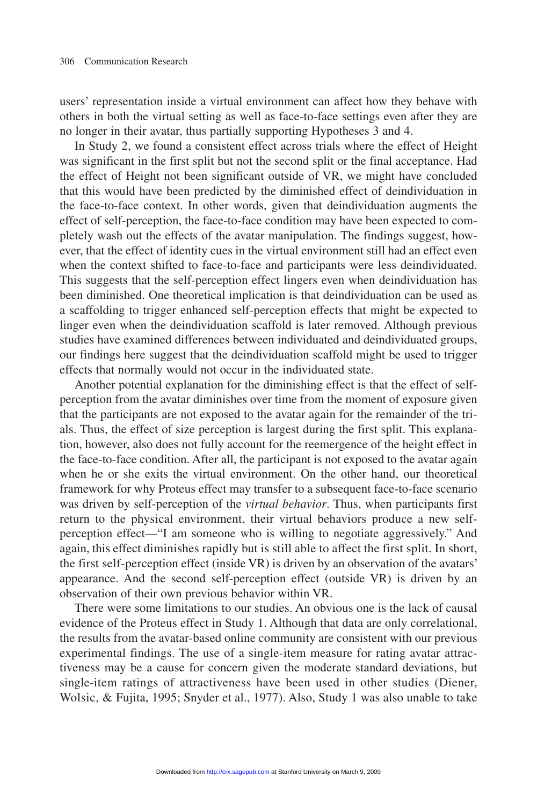users' representation inside a virtual environment can affect how they behave with others in both the virtual setting as well as face-to-face settings even after they are no longer in their avatar, thus partially supporting Hypotheses 3 and 4.

In Study 2, we found a consistent effect across trials where the effect of Height was significant in the first split but not the second split or the final acceptance. Had the effect of Height not been significant outside of VR, we might have concluded that this would have been predicted by the diminished effect of deindividuation in the face-to-face context. In other words, given that deindividuation augments the effect of self-perception, the face-to-face condition may have been expected to completely wash out the effects of the avatar manipulation. The findings suggest, however, that the effect of identity cues in the virtual environment still had an effect even when the context shifted to face-to-face and participants were less deindividuated. This suggests that the self-perception effect lingers even when deindividuation has been diminished. One theoretical implication is that deindividuation can be used as a scaffolding to trigger enhanced self-perception effects that might be expected to linger even when the deindividuation scaffold is later removed. Although previous studies have examined differences between individuated and deindividuated groups, our findings here suggest that the deindividuation scaffold might be used to trigger effects that normally would not occur in the individuated state.

Another potential explanation for the diminishing effect is that the effect of selfperception from the avatar diminishes over time from the moment of exposure given that the participants are not exposed to the avatar again for the remainder of the trials. Thus, the effect of size perception is largest during the first split. This explanation, however, also does not fully account for the reemergence of the height effect in the face-to-face condition. After all, the participant is not exposed to the avatar again when he or she exits the virtual environment. On the other hand, our theoretical framework for why Proteus effect may transfer to a subsequent face-to-face scenario was driven by self-perception of the *virtual behavior*. Thus, when participants first return to the physical environment, their virtual behaviors produce a new selfperception effect—"I am someone who is willing to negotiate aggressively." And again, this effect diminishes rapidly but is still able to affect the first split. In short, the first self-perception effect (inside VR) is driven by an observation of the avatars' appearance. And the second self-perception effect (outside VR) is driven by an observation of their own previous behavior within VR.

There were some limitations to our studies. An obvious one is the lack of causal evidence of the Proteus effect in Study 1. Although that data are only correlational, the results from the avatar-based online community are consistent with our previous experimental findings. The use of a single-item measure for rating avatar attractiveness may be a cause for concern given the moderate standard deviations, but single-item ratings of attractiveness have been used in other studies (Diener, Wolsic, & Fujita, 1995; Snyder et al., 1977). Also, Study 1 was also unable to take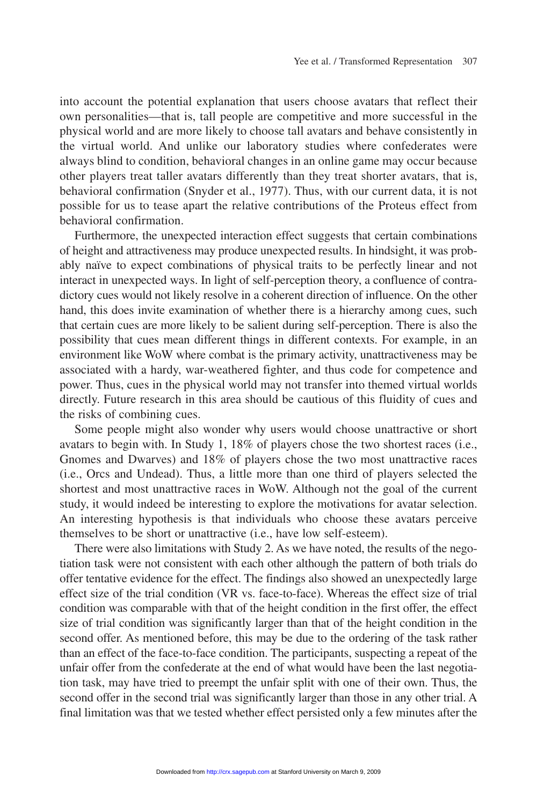into account the potential explanation that users choose avatars that reflect their own personalities—that is, tall people are competitive and more successful in the physical world and are more likely to choose tall avatars and behave consistently in the virtual world. And unlike our laboratory studies where confederates were always blind to condition, behavioral changes in an online game may occur because other players treat taller avatars differently than they treat shorter avatars, that is, behavioral confirmation (Snyder et al., 1977). Thus, with our current data, it is not possible for us to tease apart the relative contributions of the Proteus effect from behavioral confirmation.

Furthermore, the unexpected interaction effect suggests that certain combinations of height and attractiveness may produce unexpected results. In hindsight, it was probably naïve to expect combinations of physical traits to be perfectly linear and not interact in unexpected ways. In light of self-perception theory, a confluence of contradictory cues would not likely resolve in a coherent direction of influence. On the other hand, this does invite examination of whether there is a hierarchy among cues, such that certain cues are more likely to be salient during self-perception. There is also the possibility that cues mean different things in different contexts. For example, in an environment like WoW where combat is the primary activity, unattractiveness may be associated with a hardy, war-weathered fighter, and thus code for competence and power. Thus, cues in the physical world may not transfer into themed virtual worlds directly. Future research in this area should be cautious of this fluidity of cues and the risks of combining cues.

Some people might also wonder why users would choose unattractive or short avatars to begin with. In Study 1, 18% of players chose the two shortest races (i.e., Gnomes and Dwarves) and 18% of players chose the two most unattractive races (i.e., Orcs and Undead). Thus, a little more than one third of players selected the shortest and most unattractive races in WoW. Although not the goal of the current study, it would indeed be interesting to explore the motivations for avatar selection. An interesting hypothesis is that individuals who choose these avatars perceive themselves to be short or unattractive (i.e., have low self-esteem).

There were also limitations with Study 2. As we have noted, the results of the negotiation task were not consistent with each other although the pattern of both trials do offer tentative evidence for the effect. The findings also showed an unexpectedly large effect size of the trial condition (VR vs. face-to-face). Whereas the effect size of trial condition was comparable with that of the height condition in the first offer, the effect size of trial condition was significantly larger than that of the height condition in the second offer. As mentioned before, this may be due to the ordering of the task rather than an effect of the face-to-face condition. The participants, suspecting a repeat of the unfair offer from the confederate at the end of what would have been the last negotiation task, may have tried to preempt the unfair split with one of their own. Thus, the second offer in the second trial was significantly larger than those in any other trial. A final limitation was that we tested whether effect persisted only a few minutes after the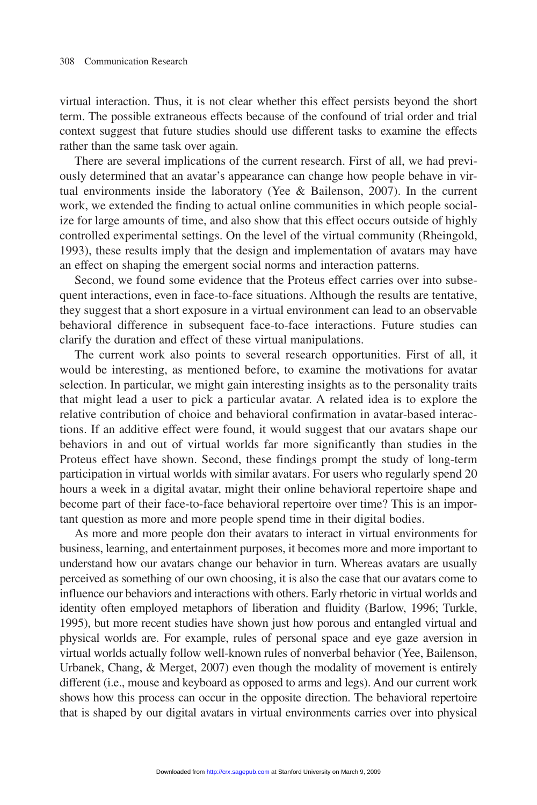virtual interaction. Thus, it is not clear whether this effect persists beyond the short term. The possible extraneous effects because of the confound of trial order and trial context suggest that future studies should use different tasks to examine the effects rather than the same task over again.

There are several implications of the current research. First of all, we had previously determined that an avatar's appearance can change how people behave in virtual environments inside the laboratory (Yee & Bailenson, 2007). In the current work, we extended the finding to actual online communities in which people socialize for large amounts of time, and also show that this effect occurs outside of highly controlled experimental settings. On the level of the virtual community (Rheingold, 1993), these results imply that the design and implementation of avatars may have an effect on shaping the emergent social norms and interaction patterns.

Second, we found some evidence that the Proteus effect carries over into subsequent interactions, even in face-to-face situations. Although the results are tentative, they suggest that a short exposure in a virtual environment can lead to an observable behavioral difference in subsequent face-to-face interactions. Future studies can clarify the duration and effect of these virtual manipulations.

The current work also points to several research opportunities. First of all, it would be interesting, as mentioned before, to examine the motivations for avatar selection. In particular, we might gain interesting insights as to the personality traits that might lead a user to pick a particular avatar. A related idea is to explore the relative contribution of choice and behavioral confirmation in avatar-based interactions. If an additive effect were found, it would suggest that our avatars shape our behaviors in and out of virtual worlds far more significantly than studies in the Proteus effect have shown. Second, these findings prompt the study of long-term participation in virtual worlds with similar avatars. For users who regularly spend 20 hours a week in a digital avatar, might their online behavioral repertoire shape and become part of their face-to-face behavioral repertoire over time? This is an important question as more and more people spend time in their digital bodies.

As more and more people don their avatars to interact in virtual environments for business, learning, and entertainment purposes, it becomes more and more important to understand how our avatars change our behavior in turn. Whereas avatars are usually perceived as something of our own choosing, it is also the case that our avatars come to influence our behaviors and interactions with others. Early rhetoric in virtual worlds and identity often employed metaphors of liberation and fluidity (Barlow, 1996; Turkle, 1995), but more recent studies have shown just how porous and entangled virtual and physical worlds are. For example, rules of personal space and eye gaze aversion in virtual worlds actually follow well-known rules of nonverbal behavior (Yee, Bailenson, Urbanek, Chang, & Merget, 2007) even though the modality of movement is entirely different (i.e., mouse and keyboard as opposed to arms and legs). And our current work shows how this process can occur in the opposite direction. The behavioral repertoire that is shaped by our digital avatars in virtual environments carries over into physical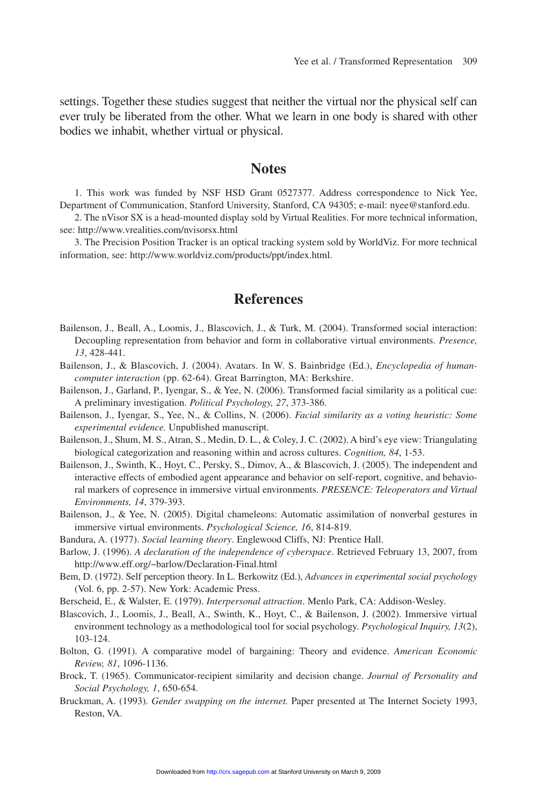settings. Together these studies suggest that neither the virtual nor the physical self can ever truly be liberated from the other. What we learn in one body is shared with other bodies we inhabit, whether virtual or physical.

# **Notes**

1. This work was funded by NSF HSD Grant 0527377. Address correspondence to Nick Yee, Department of Communication, Stanford University, Stanford, CA 94305; e-mail: nyee@stanford.edu.

2. The nVisor SX is a head-mounted display sold by Virtual Realities. For more technical information, see: http://www.vrealities.com/nvisorsx.html

3. The Precision Position Tracker is an optical tracking system sold by WorldViz. For more technical information, see: http://www.worldviz.com/products/ppt/index.html.

# **References**

- Bailenson, J., Beall, A., Loomis, J., Blascovich, J., & Turk, M. (2004). Transformed social interaction: Decoupling representation from behavior and form in collaborative virtual environments. *Presence, 13*, 428-441.
- Bailenson, J., & Blascovich, J. (2004). Avatars. In W. S. Bainbridge (Ed.), *Encyclopedia of humancomputer interaction* (pp. 62-64). Great Barrington, MA: Berkshire.
- Bailenson, J., Garland, P., Iyengar, S., & Yee, N. (2006). Transformed facial similarity as a political cue: A preliminary investigation. *Political Psychology, 27*, 373-386.
- Bailenson, J., Iyengar, S., Yee, N., & Collins, N. (2006). *Facial similarity as a voting heuristic: Some experimental evidence.* Unpublished manuscript.
- Bailenson, J., Shum, M. S., Atran, S., Medin, D. L., & Coley, J. C. (2002). A bird's eye view: Triangulating biological categorization and reasoning within and across cultures. *Cognition, 84*, 1-53.
- Bailenson, J., Swinth, K., Hoyt, C., Persky, S., Dimov, A., & Blascovich, J. (2005). The independent and interactive effects of embodied agent appearance and behavior on self-report, cognitive, and behavioral markers of copresence in immersive virtual environments. *PRESENCE: Teleoperators and Virtual Environments, 14*, 379-393.
- Bailenson, J., & Yee, N. (2005). Digital chameleons: Automatic assimilation of nonverbal gestures in immersive virtual environments. *Psychological Science, 16*, 814-819.
- Bandura, A. (1977). *Social learning theory*. Englewood Cliffs, NJ: Prentice Hall.
- Barlow, J. (1996). *A declaration of the independence of cyberspace*. Retrieved February 13, 2007, from http://www.eff.org/~barlow/Declaration-Final.html
- Bem, D. (1972). Self perception theory. In L. Berkowitz (Ed.), *Advances in experimental social psychology* (Vol. 6, pp. 2-57). New York: Academic Press.
- Berscheid, E., & Walster, E. (1979). *Interpersonal attraction*. Menlo Park, CA: Addison-Wesley.
- Blascovich, J., Loomis, J., Beall, A., Swinth, K., Hoyt, C., & Bailenson, J. (2002). Immersive virtual environment technology as a methodological tool for social psychology. *Psychological Inquiry, 13*(2), 103-124.
- Bolton, G. (1991). A comparative model of bargaining: Theory and evidence. *American Economic Review, 81*, 1096-1136.
- Brock, T. (1965). Communicator-recipient similarity and decision change. *Journal of Personality and Social Psychology, 1*, 650-654.
- Bruckman, A. (1993). *Gender swapping on the internet.* Paper presented at The Internet Society 1993, Reston, VA.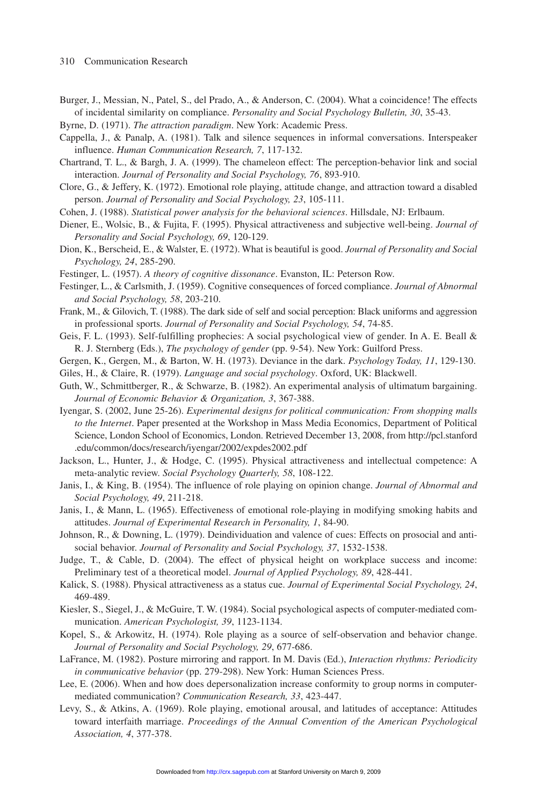Burger, J., Messian, N., Patel, S., del Prado, A., & Anderson, C. (2004). What a coincidence! The effects of incidental similarity on compliance. *Personality and Social Psychology Bulletin, 30*, 35-43.

Byrne, D. (1971). *The attraction paradigm*. New York: Academic Press.

- Cappella, J., & Panalp, A. (1981). Talk and silence sequences in informal conversations. Interspeaker influence. *Human Communication Research, 7*, 117-132.
- Chartrand, T. L., & Bargh, J. A. (1999). The chameleon effect: The perception-behavior link and social interaction. *Journal of Personality and Social Psychology, 76*, 893-910.
- Clore, G., & Jeffery, K. (1972). Emotional role playing, attitude change, and attraction toward a disabled person. *Journal of Personality and Social Psychology, 23*, 105-111.
- Cohen, J. (1988). *Statistical power analysis for the behavioral sciences*. Hillsdale, NJ: Erlbaum.
- Diener, E., Wolsic, B., & Fujita, F. (1995). Physical attractiveness and subjective well-being. *Journal of Personality and Social Psychology, 69*, 120-129.
- Dion, K., Berscheid, E., & Walster, E. (1972). What is beautiful is good. *Journal of Personality and Social Psychology, 24*, 285-290.
- Festinger, L. (1957). *A theory of cognitive dissonance*. Evanston, IL: Peterson Row.
- Festinger, L., & Carlsmith, J. (1959). Cognitive consequences of forced compliance. *Journal of Abnormal and Social Psychology, 58*, 203-210.
- Frank, M., & Gilovich, T. (1988). The dark side of self and social perception: Black uniforms and aggression in professional sports. *Journal of Personality and Social Psychology, 54*, 74-85.
- Geis, F. L. (1993). Self-fulfilling prophecies: A social psychological view of gender. In A. E. Beall & R. J. Sternberg (Eds.), *The psychology of gender* (pp. 9-54). New York: Guilford Press.
- Gergen, K., Gergen, M., & Barton, W. H. (1973). Deviance in the dark. *Psychology Today, 11*, 129-130.
- Giles, H., & Claire, R. (1979). *Language and social psychology*. Oxford, UK: Blackwell.
- Guth, W., Schmittberger, R., & Schwarze, B. (1982). An experimental analysis of ultimatum bargaining. *Journal of Economic Behavior & Organization, 3*, 367-388.
- Iyengar, S. (2002, June 25-26). *Experimental designs for political communication: From shopping malls to the Internet*. Paper presented at the Workshop in Mass Media Economics, Department of Political Science, London School of Economics, London. Retrieved December 13, 2008, from http://pcl.stanford .edu/common/docs/research/iyengar/2002/expdes2002.pdf
- Jackson, L., Hunter, J., & Hodge, C. (1995). Physical attractiveness and intellectual competence: A meta-analytic review. *Social Psychology Quarterly, 58*, 108-122.
- Janis, I., & King, B. (1954). The influence of role playing on opinion change. *Journal of Abnormal and Social Psychology, 49*, 211-218.
- Janis, I., & Mann, L. (1965). Effectiveness of emotional role-playing in modifying smoking habits and attitudes. *Journal of Experimental Research in Personality, 1*, 84-90.
- Johnson, R., & Downing, L. (1979). Deindividuation and valence of cues: Effects on prosocial and antisocial behavior. *Journal of Personality and Social Psychology, 37*, 1532-1538.
- Judge, T., & Cable, D. (2004). The effect of physical height on workplace success and income: Preliminary test of a theoretical model. *Journal of Applied Psychology, 89*, 428-441.
- Kalick, S. (1988). Physical attractiveness as a status cue. *Journal of Experimental Social Psychology, 24*, 469-489.
- Kiesler, S., Siegel, J., & McGuire, T. W. (1984). Social psychological aspects of computer-mediated communication. *American Psychologist, 39*, 1123-1134.
- Kopel, S., & Arkowitz, H. (1974). Role playing as a source of self-observation and behavior change. *Journal of Personality and Social Psychology, 29*, 677-686.
- LaFrance, M. (1982). Posture mirroring and rapport. In M. Davis (Ed.), *Interaction rhythms: Periodicity in communicative behavior* (pp. 279-298). New York: Human Sciences Press.
- Lee, E. (2006). When and how does depersonalization increase conformity to group norms in computermediated communication? *Communication Research, 33*, 423-447.
- Levy, S., & Atkins, A. (1969). Role playing, emotional arousal, and latitudes of acceptance: Attitudes toward interfaith marriage. *Proceedings of the Annual Convention of the American Psychological Association, 4*, 377-378.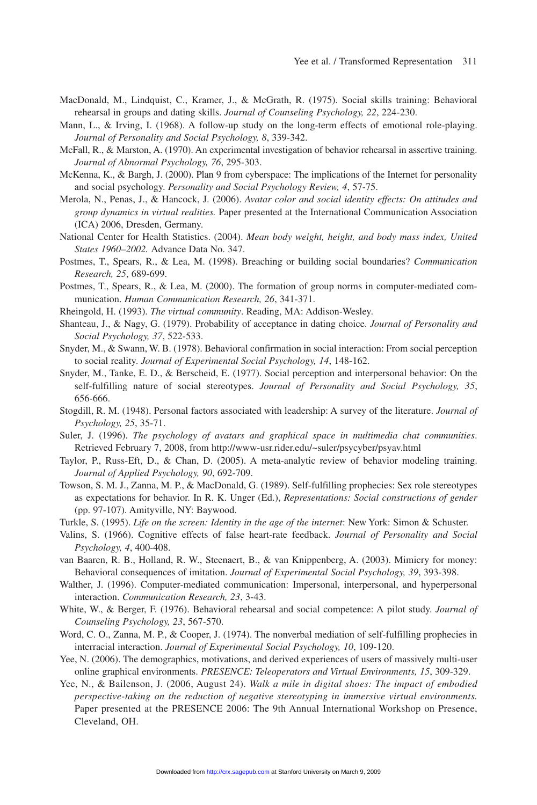- MacDonald, M., Lindquist, C., Kramer, J., & McGrath, R. (1975). Social skills training: Behavioral rehearsal in groups and dating skills. *Journal of Counseling Psychology, 22*, 224-230.
- Mann, L., & Irving, I. (1968). A follow-up study on the long-term effects of emotional role-playing. *Journal of Personality and Social Psychology, 8*, 339-342.
- McFall, R., & Marston, A. (1970). An experimental investigation of behavior rehearsal in assertive training. *Journal of Abnormal Psychology, 76*, 295-303.
- McKenna, K., & Bargh, J. (2000). Plan 9 from cyberspace: The implications of the Internet for personality and social psychology. *Personality and Social Psychology Review, 4*, 57-75.
- Merola, N., Penas, J., & Hancock, J. (2006). *Avatar color and social identity effects: On attitudes and group dynamics in virtual realities.* Paper presented at the International Communication Association (ICA) 2006, Dresden, Germany.
- National Center for Health Statistics. (2004). *Mean body weight, height, and body mass index, United States 1960–2002.* Advance Data No. 347.
- Postmes, T., Spears, R., & Lea, M. (1998). Breaching or building social boundaries? *Communication Research, 25*, 689-699.
- Postmes, T., Spears, R., & Lea, M. (2000). The formation of group norms in computer-mediated communication. *Human Communication Research, 26*, 341-371.
- Rheingold, H. (1993). *The virtual community*. Reading, MA: Addison-Wesley.
- Shanteau, J., & Nagy, G. (1979). Probability of acceptance in dating choice. *Journal of Personality and Social Psychology, 37*, 522-533.
- Snyder, M., & Swann, W. B. (1978). Behavioral confirmation in social interaction: From social perception to social reality. *Journal of Experimental Social Psychology, 14*, 148-162.
- Snyder, M., Tanke, E. D., & Berscheid, E. (1977). Social perception and interpersonal behavior: On the self-fulfilling nature of social stereotypes. *Journal of Personality and Social Psychology, 35*, 656-666.
- Stogdill, R. M. (1948). Personal factors associated with leadership: A survey of the literature. *Journal of Psychology, 25*, 35-71.
- Suler, J. (1996). *The psychology of avatars and graphical space in multimedia chat communities*. Retrieved February 7, 2008, from http://www-usr.rider.edu/~suler/psycyber/psyav.html
- Taylor, P., Russ-Eft, D., & Chan, D. (2005). A meta-analytic review of behavior modeling training. *Journal of Applied Psychology, 90*, 692-709.
- Towson, S. M. J., Zanna, M. P., & MacDonald, G. (1989). Self-fulfilling prophecies: Sex role stereotypes as expectations for behavior. In R. K. Unger (Ed.), *Representations: Social constructions of gender* (pp. 97-107). Amityville, NY: Baywood.
- Turkle, S. (1995). *Life on the screen: Identity in the age of the internet*: New York: Simon & Schuster.
- Valins, S. (1966). Cognitive effects of false heart-rate feedback. *Journal of Personality and Social Psychology, 4*, 400-408.
- van Baaren, R. B., Holland, R. W., Steenaert, B., & van Knippenberg, A. (2003). Mimicry for money: Behavioral consequences of imitation. *Journal of Experimental Social Psychology, 39*, 393-398.
- Walther, J. (1996). Computer-mediated communication: Impersonal, interpersonal, and hyperpersonal interaction. *Communication Research, 23*, 3-43.
- White, W., & Berger, F. (1976). Behavioral rehearsal and social competence: A pilot study. *Journal of Counseling Psychology, 23*, 567-570.
- Word, C. O., Zanna, M. P., & Cooper, J. (1974). The nonverbal mediation of self-fulfilling prophecies in interracial interaction. *Journal of Experimental Social Psychology, 10*, 109-120.
- Yee, N. (2006). The demographics, motivations, and derived experiences of users of massively multi-user online graphical environments. *PRESENCE: Teleoperators and Virtual Environments, 15*, 309-329.
- Yee, N., & Bailenson, J. (2006, August 24). *Walk a mile in digital shoes: The impact of embodied perspective-taking on the reduction of negative stereotyping in immersive virtual environments.* Paper presented at the PRESENCE 2006: The 9th Annual International Workshop on Presence, Cleveland, OH.